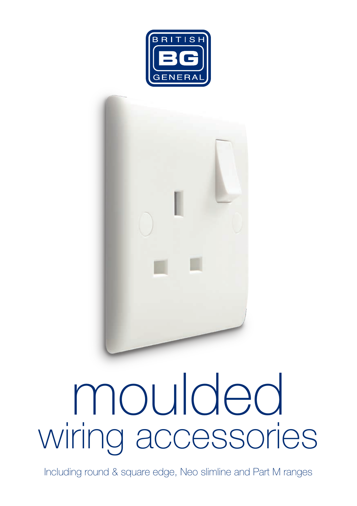



# wiring accessories moulded

Including round & square edge, Neo slimline and Part M ranges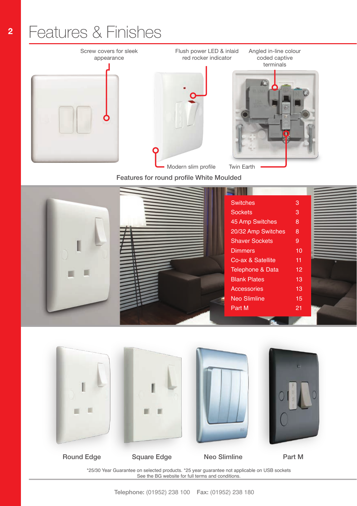### Features & Finishes







Angled in-line colour

Twin Earth

Flush power LED & inlaid

Features for round profile White Moulded

|  | <b>Switches</b>       | 3               |  |
|--|-----------------------|-----------------|--|
|  | <b>Sockets</b>        | 3               |  |
|  | 45 Amp Switches       | 8               |  |
|  | 20/32 Amp Switches    | 8               |  |
|  | <b>Shaver Sockets</b> | 9               |  |
|  | <b>Dimmers</b>        | 10              |  |
|  | Co-ax & Satellite     | 11              |  |
|  | Telephone & Data      | 12 <sup>°</sup> |  |
|  | <b>Blank Plates</b>   | 13              |  |
|  | Accessories           | 13              |  |
|  | <b>Neo Slimline</b>   | 15              |  |
|  | Part M                | 21              |  |
|  |                       |                 |  |



Round Edge Square Edge

Neo Slimline Part M

\*25/30 Year Guarantee on selected products. \*25 year guarantee not applicable on USB sockets See the BG website for full terms and conditions.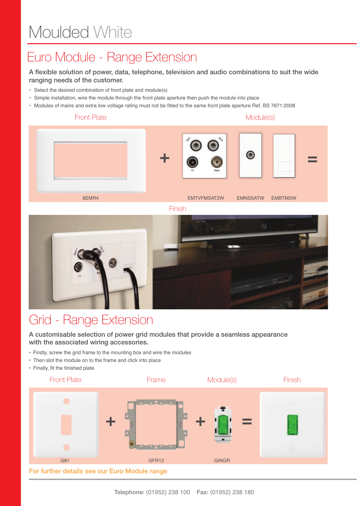### **<sup>14</sup>** Moulded White

### Euro Module - Range Extension

#### A flexible solution of power, data, telephone, television and audio combinations to suit the wide ranging needs of the customer.

- Select the desired combination of front plate and module(s)
- Simple installation, wire the module through the front plate aperture then push the module into place
- Modules of mains and extra low voltage rating must not be fitted to the same front plate aperture Ref. BS 7671:2008



Finish



#### Grid - Range Extension

A customisable selection of power grid modules that provide a seamless appearance with the associated wiring accessories.

- Firstly, screw the grid frame to the mounting box and wire the modules
- Then slot the module on to the frame and click into place
- Finally, fit the finished plate

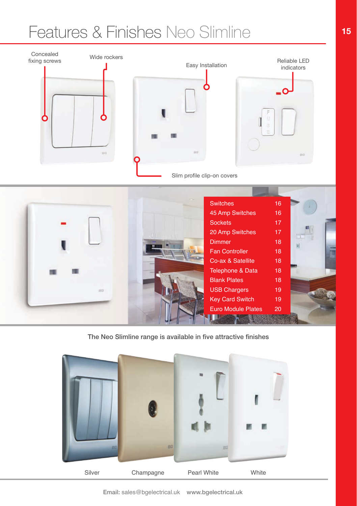# Features & Finishes Neo Slimline



The Neo Slimline range is available in five attractive finishes

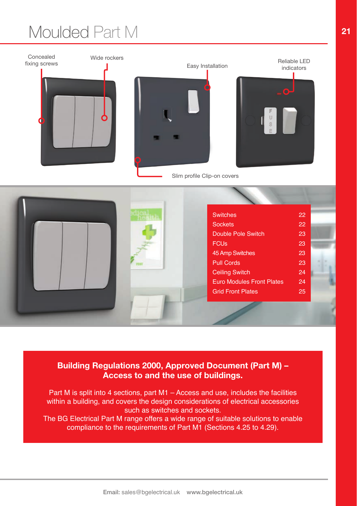# Moulded Part M



#### **Building Regulations 2000, Approved Document (Part M) – Access to and the use of buildings.**

Part M is split into 4 sections, part M1 – Access and use, includes the facilities within a building, and covers the design considerations of electrical accessories such as switches and sockets.

The BG Electrical Part M range offers a wide range of suitable solutions to enable compliance to the requirements of Part M1 (Sections 4.25 to 4.29).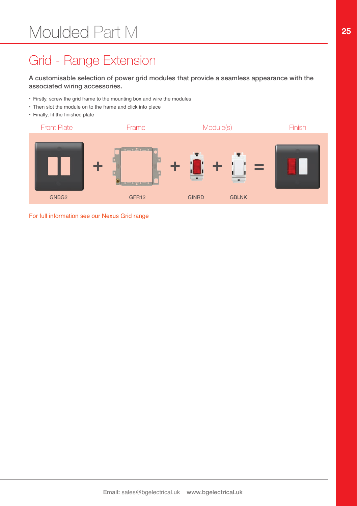### Grid - Range Extension

A customisable selection of power grid modules that provide a seamless appearance with the associated wiring accessories.

- Firstly, screw the grid frame to the mounting box and wire the modules
- Then slot the module on to the frame and click into place
- Finally, fit the finished plate



For full information see our Nexus Grid range